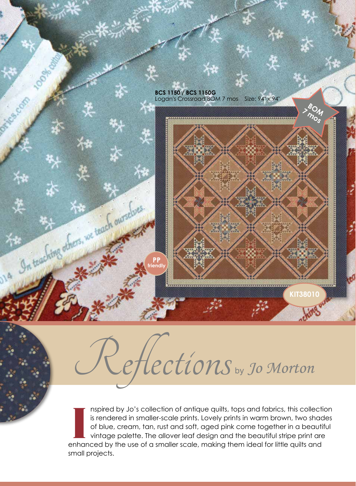

## Hections <sub>by</sub> Jo Morton

II Is provided by Jo's collection of antique quilts, tops and fabrics, this collecties is rendered in smaller-scale prints. Lovely prints in warm brown, two shaded for blue, cream, tan, rust and soft, aged pink come togeth nspired by Jo's collection of antique quilts, tops and fabrics, this collection is rendered in smaller-scale prints. Lovely prints in warm brown, two shades of blue, cream, tan, rust and soft, aged pink come together in a beautiful vintage palette. The allover leaf design and the beautiful stripe print are small projects.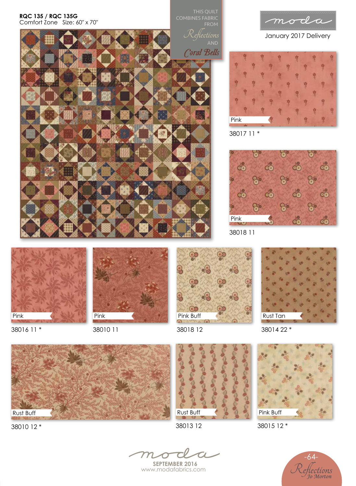## **RQC 135 / RQC 135G**  Comfort Zone Size: 60″ x 70″

THIS QUILT FROM

Coral Bells



January 2017 Delivery







38018 11



Pink

38016 11 \*





Rust Tan

38018 12





38010 12 \*

38013 12





38015 12 \*



**SEPTEMBER 2016** www.modafabrics.com

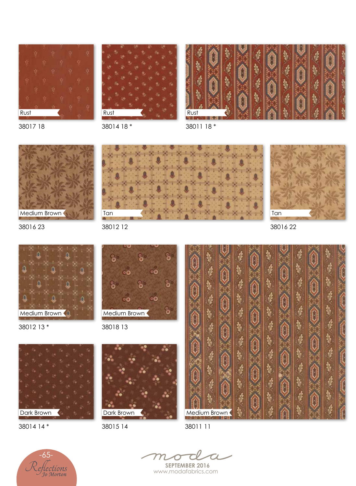





38017 18

38014 18 \*

38011 18 \*



Tan

38016 23

38012 12

ő å ۰o ୦ଯ ò ۰Ø ٥O ő Medium Brown 38018 13

38012 13 \*

Medium Brown



38014 14 \*



38015 14







38011 11



**SEPTEMBER 2016** www.modafabrics.com